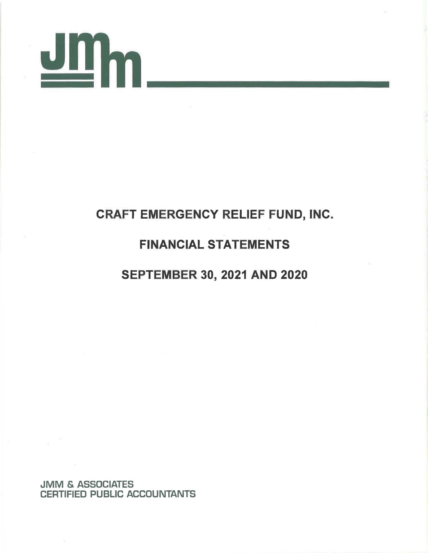

### CRAFT EMERGENCY RELIEF FUND, INC. FINANCIAL STATEMENTS SEPTEMBER 30, 2021 AND 2020

JMM & ASSOCIATES CERTIFIED PUBLIC ACCOUNTANTS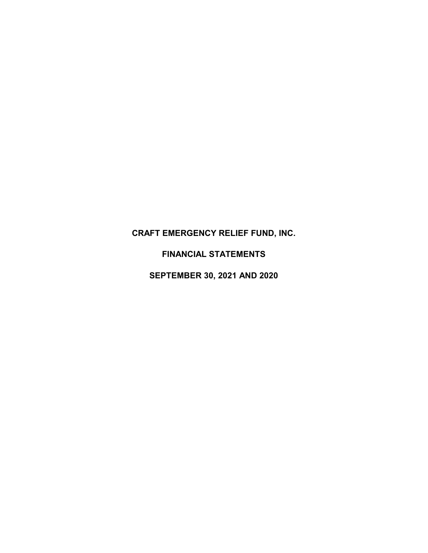**FINANCIAL STATEMENTS**

**SEPTEMBER 30, 2021 AND 2020**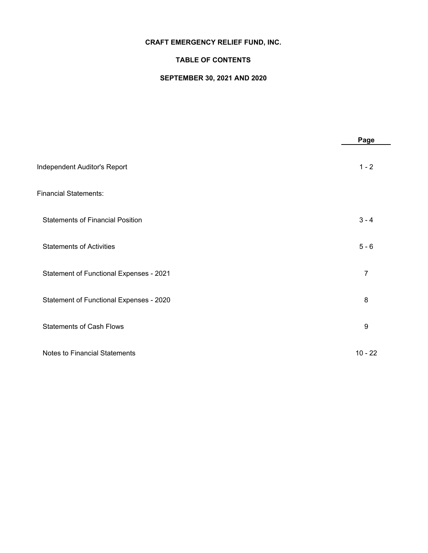### **TABLE OF CONTENTS**

### **SEPTEMBER 30, 2021 AND 2020**

|                                         | Page             |
|-----------------------------------------|------------------|
| Independent Auditor's Report            | $1 - 2$          |
| <b>Financial Statements:</b>            |                  |
| <b>Statements of Financial Position</b> | $3 - 4$          |
| <b>Statements of Activities</b>         | $5 - 6$          |
| Statement of Functional Expenses - 2021 | $\overline{7}$   |
| Statement of Functional Expenses - 2020 | 8                |
| <b>Statements of Cash Flows</b>         | $\boldsymbol{9}$ |
| <b>Notes to Financial Statements</b>    | $10 - 22$        |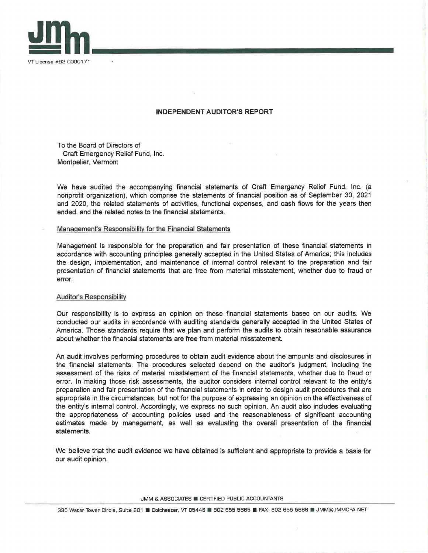*VT* License #92-0000171

### **INDEPENDENT AUDITOR'S REPORT**

To the Board of Directors of Craft Emergency Relief Fund, Inc. Montpelier, Vermont

We have audited the accompanying financial statements of Craft Emergency Relief Fund, Inc. (a nonprofit organization), which comprise the statements of financial position as of September 30, 2021 and 2020, the related statements of activities, functional expenses, and cash flows for the years then ended, and the related notes to the financial statements.

### Management's Responsibility for the Financial Statements

Management is responsible for the preparation and fair presentation of these financial statements in accordance with accounting principles generally accepted in the United States of America; this includes the design, implementation, and maintenance of internal control relevant to the preparation and fair presentation of financial statements that are free from material misstatement, whether due to fraud or error.

### Auditor's Responsibility

Our responsibility is to express an opinion on these financial statements based on our audits. We conducted our audits in accordance with auditing standards generally accepted in the United States of America. Those standards require that we plan and perform the audits to obtain reasonable assurance about whether the financial statements are free from material misstatement.

An audit involves performing procedures to obtain audit evidence about the amounts and disclosures in the financial statements. The procedures selected depend on the auditor's judgment, including the assessment of the risks of material misstatement of the financial statements, whether due to fraud or error. In making those risk assessments, the auditor considers internal control relevant to the entity's preparation and fair presentation of the financial statements in order to design audit procedures that are appropriate in the circumstances, but not for the purpose of expressing an opinion on the effectiveness of the entity's internal control. Accordingly, we express no such opinion. An audit also includes evaluating the appropriateness of accounting policies used and the reasonableness of significant accounting estimates made by management, as well as evaluating the overall presentation of the financial statements.

We believe that the audit evidence we have obtained is sufficient and appropriate to provide a basis for our audit opinion.

JMM & ASSOCIATES **CERTIFIED PUBLIC ACCOUNTANTS**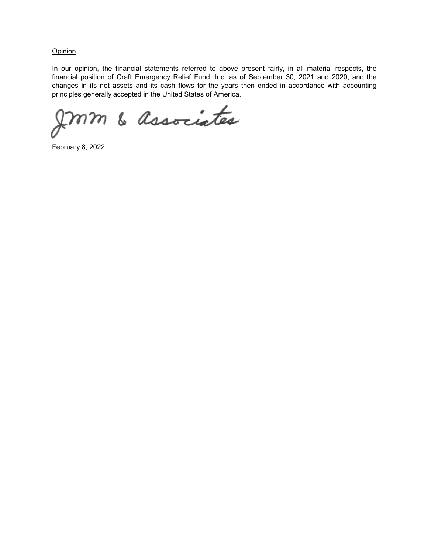**Opinion** 

In our opinion, the financial statements referred to above present fairly, in all material respects, the financial position of Craft Emergency Relief Fund, Inc. as of September 30, 2021 and 2020, and the changes in its net assets and its cash flows for the years then ended in accordance with accounting principles generally accepted in the United States of America.

mm & associates

February 8, 2022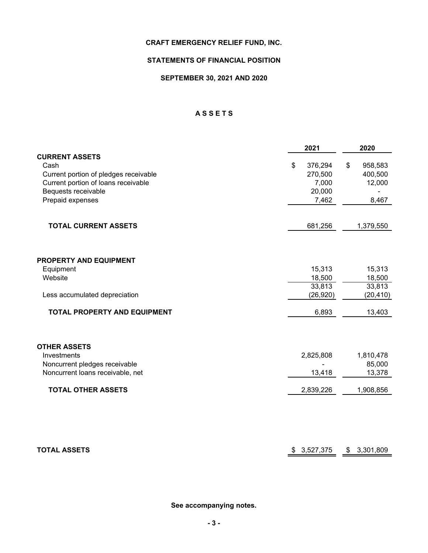### **STATEMENTS OF FINANCIAL POSITION**

### **SEPTEMBER 30, 2021 AND 2020**

### **A S S E T S**

|                                       | 2021            | 2020            |
|---------------------------------------|-----------------|-----------------|
| <b>CURRENT ASSETS</b>                 |                 |                 |
| Cash                                  | \$<br>376,294   | 958,583<br>\$   |
| Current portion of pledges receivable | 270,500         | 400,500         |
| Current portion of loans receivable   | 7,000           | 12,000          |
| Bequests receivable                   | 20,000          |                 |
| Prepaid expenses                      | 7,462           | 8,467           |
| <b>TOTAL CURRENT ASSETS</b>           | 681,256         | 1,379,550       |
|                                       |                 |                 |
| <b>PROPERTY AND EQUIPMENT</b>         |                 |                 |
| Equipment                             | 15,313          | 15,313          |
| Website                               | 18,500          | 18,500          |
|                                       | 33,813          | 33,813          |
| Less accumulated depreciation         | (26, 920)       | (20, 410)       |
| TOTAL PROPERTY AND EQUIPMENT          | 6,893           | 13,403          |
|                                       |                 |                 |
| <b>OTHER ASSETS</b>                   |                 |                 |
| Investments                           | 2,825,808       | 1,810,478       |
| Noncurrent pledges receivable         |                 | 85,000          |
| Noncurrent loans receivable, net      | 13,418          | 13,378          |
| <b>TOTAL OTHER ASSETS</b>             | 2,839,226       | 1,908,856       |
|                                       |                 |                 |
| <b>TOTAL ASSETS</b>                   | 3,527,375<br>\$ | \$<br>3,301,809 |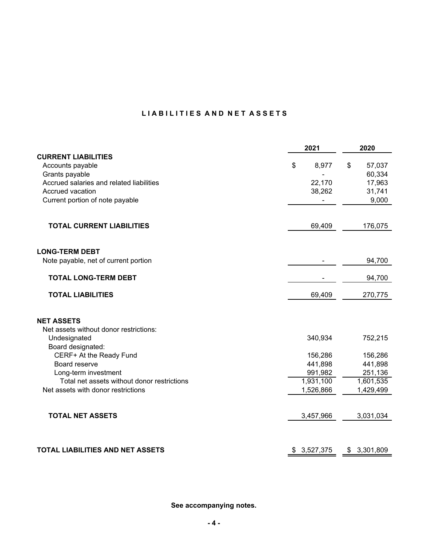### LIA BILITIES AND NET ASSETS

|                                             | 2021        | 2020         |
|---------------------------------------------|-------------|--------------|
| <b>CURRENT LIABILITIES</b>                  |             |              |
| Accounts payable                            | \$<br>8,977 | 57,037<br>\$ |
| Grants payable                              |             | 60,334       |
| Accrued salaries and related liabilities    | 22,170      | 17,963       |
| Accrued vacation                            | 38,262      | 31,741       |
| Current portion of note payable             |             | 9,000        |
| <b>TOTAL CURRENT LIABILITIES</b>            | 69,409      | 176,075      |
| <b>LONG-TERM DEBT</b>                       |             |              |
| Note payable, net of current portion        |             | 94,700       |
| <b>TOTAL LONG-TERM DEBT</b>                 |             | 94,700       |
| <b>TOTAL LIABILITIES</b>                    | 69,409      | 270,775      |
| <b>NET ASSETS</b>                           |             |              |
| Net assets without donor restrictions:      |             |              |
| Undesignated                                | 340,934     | 752,215      |
| Board designated:                           |             |              |
| CERF+ At the Ready Fund                     | 156,286     | 156,286      |
| Board reserve                               | 441,898     | 441,898      |
| Long-term investment                        | 991,982     | 251,136      |
| Total net assets without donor restrictions | 1,931,100   | 1,601,535    |
| Net assets with donor restrictions          | 1,526,866   | 1,429,499    |
|                                             |             |              |
| <b>TOTAL NET ASSETS</b>                     | 3,457,966   | 3,031,034    |
|                                             |             |              |
| TOTAL LIABILITIES AND NET ASSETS            | \$3,527,375 | \$3,301,809  |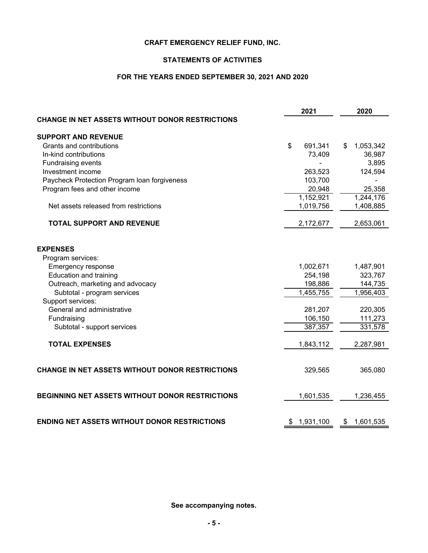### **STATEMENTS OF ACTIVITIES**

### **FOR THE YEARS ENDED SEPTEMBER 30, 2021 AND 2020**

|                                                        | 2021            | 2020            |
|--------------------------------------------------------|-----------------|-----------------|
| CHANGE IN NET ASSETS WITHOUT DONOR RESTRICTIONS        |                 |                 |
| <b>SUPPORT AND REVENUE</b>                             |                 |                 |
| Grants and contributions                               | \$<br>691,341   | 1,053,342<br>S  |
| In-kind contributions                                  | 73,409          | 36,987          |
| <b>Fundraising events</b>                              |                 | 3,895           |
| Investment income                                      | 263,523         | 124,594         |
| Paycheck Protection Program Ioan forgiveness           | 103,700         |                 |
| Program fees and other income                          | 20,948          | 25,358          |
|                                                        | 1,152,921       | 1,244,176       |
| Net assets released from restrictions                  | 1,019,756       | 1,408,885       |
| <b>TOTAL SUPPORT AND REVENUE</b>                       | 2,172,677       | 2,653,061       |
| <b>EXPENSES</b>                                        |                 |                 |
| Program services:                                      |                 |                 |
| Emergency response                                     | 1,002,671       | 1,487,901       |
| Education and training                                 | 254,198         | 323,767         |
| Outreach, marketing and advocacy                       | 198,886         | 144,735         |
| Subtotal - program services                            | 1,455,755       | 1,956,403       |
| Support services:                                      |                 |                 |
| General and administrative                             | 281,207         | 220,305         |
| Fundraising                                            | 106,150         | 111,273         |
| Subtotal - support services                            | 387,357         | 331,578         |
| <b>TOTAL EXPENSES</b>                                  | 1,843,112       | 2,287,981       |
| <b>CHANGE IN NET ASSETS WITHOUT DONOR RESTRICTIONS</b> | 329,565         | 365,080         |
| BEGINNING NET ASSETS WITHOUT DONOR RESTRICTIONS        | 1,601,535       | 1,236,455       |
|                                                        |                 |                 |
| <b>ENDING NET ASSETS WITHOUT DONOR RESTRICTIONS</b>    | 1,931,100<br>\$ | 1,601,535<br>\$ |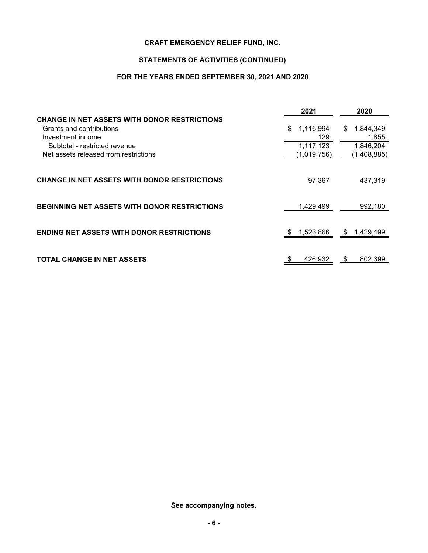### **STATEMENTS OF ACTIVITIES (CONTINUED)**

### **FOR THE YEARS ENDED SEPTEMBER 30, 2021 AND 2020**

|                                                     | 2021           | 2020                        |
|-----------------------------------------------------|----------------|-----------------------------|
| <b>CHANGE IN NET ASSETS WITH DONOR RESTRICTIONS</b> |                |                             |
| Grants and contributions                            | 1,116,994<br>S | 1,844,349<br>S              |
| Investment income                                   | 129            | 1,855                       |
| Subtotal - restricted revenue                       | 1,117,123      | 1,846,204                   |
| Net assets released from restrictions               | (1,019,756)    | (1,408,885)                 |
| <b>CHANGE IN NET ASSETS WITH DONOR RESTRICTIONS</b> | 97,367         | 437.319                     |
| <b>BEGINNING NET ASSETS WITH DONOR RESTRICTIONS</b> | 1,429,499      | 992,180                     |
| <b>ENDING NET ASSETS WITH DONOR RESTRICTIONS</b>    | 1,526,866      | 1,429,499<br>$\mathfrak{s}$ |
| <b>TOTAL CHANGE IN NET ASSETS</b>                   | 426,932        | 802,399                     |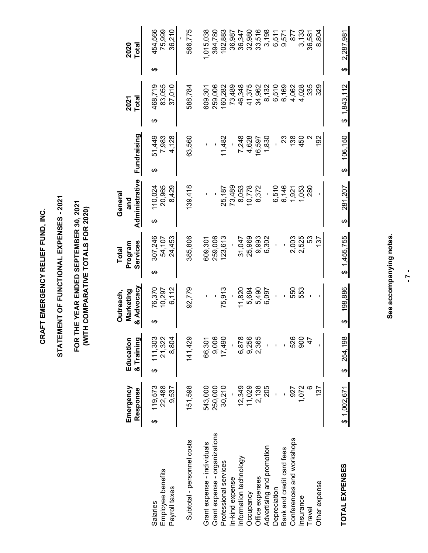CRAFT EMERGENCY RELIEF FUND, INC. **CRAFT EMERGENCY RELIEF FUND, INC.**

# STATEMENT OF FUNCTIONAL EXPENSES - 2021 **STATEMENT OF FUNCTIONAL EXPENSES - 2021**

## FOR THE YEAR ENDED SEPTEMBER 30, 2021<br>(WITH COMPARATIVE TOTALS FOR 2020) **FOR THE YEAR ENDED SEPTEMBER 30, 2021 (WITH COMPARATIVE TOTALS FOR 2020)**

|                                                        | Emergency<br>Response           | Education<br>& Training         | & Advocacy<br>Marketing<br>Outreach, | Services<br>Program<br><b>Total</b> | Administrative<br>General<br>and | Fundraising                       | Total<br>2021                    | <b>Total</b><br>2020             |       |
|--------------------------------------------------------|---------------------------------|---------------------------------|--------------------------------------|-------------------------------------|----------------------------------|-----------------------------------|----------------------------------|----------------------------------|-------|
| Employee benefits<br>Payroll taxes<br>Salaries         | 119,573<br>22,488<br>9,537<br>ക | 111,303<br>21,322<br>8,804<br>↔ | 6,112<br>76,370<br>10,297            | 307,246<br>24,453<br>54,107<br>↔    | 20,965<br>8,429<br>10,024<br>↔   | 51,449<br>7,983<br>128<br>4.<br>ക | 83,055<br>468,719<br>37,010<br>ക | 454,566<br>75,999<br>36,210<br>ക |       |
| Subtotal - personnel costs                             | 151,598                         | 141,429                         | 92,779                               | 385,806                             | 139,418                          | 63,560                            | 588,784                          | 566,775                          |       |
| Grant expense - individuals                            | 543,000                         | 66,301                          |                                      | 609,301                             |                                  |                                   | 609,301                          | 1,015,038                        |       |
| Grant expense - organizations<br>Professional services | 30,210<br>250,000               | 9,006<br>17,490                 | 75,913                               | 259,006<br>123,613                  | 25,187                           | 11,482                            | 160,282<br>259,006               | 394,780<br>102,883               |       |
| In-kind expense                                        |                                 |                                 |                                      |                                     | 73,489                           |                                   | 73,489                           | 36,987                           |       |
| Information technology                                 | 12,349                          | 6,878                           | 11,820                               | 31,047                              | 8,053                            | 7,248                             | 46,348                           | 36,347                           |       |
| Occupancy                                              | 11,029                          | 9,256                           | 5,684                                | 25,969                              | 10,778                           | 4,628                             | 41,375                           | 32,980                           |       |
| Office expenses                                        | 2,138                           | 2,365                           | 5,490                                | 9,993                               | 8,372                            | 16,597                            | 34,962                           | 33,516                           |       |
| Advertising and promotion                              | 205                             |                                 | 6,097                                | 6,302                               |                                  | 1,830                             |                                  |                                  | 3,198 |
| Depreciation                                           |                                 |                                 |                                      |                                     | 6,510                            |                                   | 8,132<br>6,510                   |                                  | 6,511 |
| Bank and credit card fees                              |                                 |                                 |                                      |                                     | 6,146                            | ಔ                                 | 6,169                            |                                  | 9,571 |
| Conferences and workshops                              | 927                             | 526                             | 550                                  | 2,003                               | 1,921                            | 138                               | 4,062                            |                                  | 877   |
| Insurance                                              | 1,072                           | 900                             | 553                                  | 2,525                               | 1,053                            | 450                               | 4,028                            |                                  | 3,133 |
| Travel                                                 | O                               | $\frac{4}{7}$                   |                                      | 53                                  | 280                              |                                   | 335                              | 36,581                           |       |
| Other expense                                          | 137                             |                                 |                                      | 137                                 |                                  | 192                               | 329                              |                                  | 8,804 |
| TOTAL EXPENSES                                         | \$1,002,671                     | \$ 254,198                      | 198,886<br>↮                         | \$1,455,755                         | 281,207<br>↔                     | 106,150<br>↔                      | \$1,843,112                      | 2,287,981<br>↔                   |       |

### See accompanying notes. **See accompanying notes.**

**- 7 -**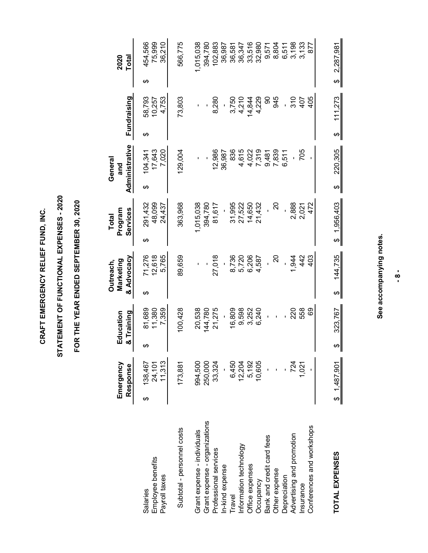CRAFT EMERGENCY RELIEF FUND, INC. **CRAFT EMERGENCY RELIEF FUND, INC.**

# STATEMENT OF FUNCTIONAL EXPENSES - 2020 **STATEMENT OF FUNCTIONAL EXPENSES - 2020**

## FOR THE YEAR ENDED SEPTEMBER 30, 2020 **FOR THE YEAR ENDED SEPTEMBER 30, 2020**

|                               |   | Emergency       |   | Education  |   | Marketing<br>Outreach, |   | Program<br><b>Total</b> |   | General<br>and |   |             |   | 2020      |
|-------------------------------|---|-----------------|---|------------|---|------------------------|---|-------------------------|---|----------------|---|-------------|---|-----------|
|                               |   | Response        |   | & Training |   | & Advocacy             |   | Services                |   | Administrative |   | Fundraising |   | Total     |
| Salaries                      | ക | 138,467         | ക | 81,689     | ക | 71,276                 | ക | 291,432                 | ക | 104.341        | ക | 58,793      | ക | 454,566   |
| Employee benefits             |   | 24,101          |   | 11,380     |   | 12,618                 |   | 48,099                  |   | 17,643         |   | 10,257      |   | 75,999    |
| Payroll taxes                 |   | 11,313          |   | 7,359      |   | 5,765                  |   | 24,437                  |   | 7,020          |   | 4,753       |   | 36,210    |
| Subtotal - personnel costs    |   | 173,881         |   | 100,428    |   | 89,659                 |   | 363,968                 |   | 129,004        |   | 73,803      |   | 566,775   |
| Grant expense - individuals   |   | 994,500         |   | 20,538     |   |                        |   | 1,015,038               |   |                |   |             |   | 1,015,038 |
| Grant expense - organizations |   | 250,000         |   | 144,780    |   |                        |   | 394,780                 |   |                |   |             |   | 394,780   |
| Professional services         |   | 33,324          |   | 21,275     |   | 27,018                 |   | 81,617                  |   | 12,986         |   | 8,280       |   | 102,883   |
| In-kind expense               |   |                 |   |            |   |                        |   |                         |   | 36,987         |   |             |   | 36,987    |
| Travel                        |   | 6,450           |   | 16,809     |   |                        |   | 31,995                  |   | 836            |   | 3,750       |   | 36,581    |
| Information technology        |   | 12,204          |   | 9,598      |   | 8,736<br>5,720         |   | 27,522                  |   | 4,615          |   | 4,210       |   | 36,347    |
| Office expenses               |   | 5,192<br>10,605 |   | 3,252      |   |                        |   | 14,650                  |   | 4,022          |   | 14,844      |   | 33,516    |
| Occupancy                     |   |                 |   | 6,240      |   | 6,206<br>4,587         |   | 21,432                  |   | 7,319<br>9,481 |   | 4,229       |   | 32,980    |
| Bank and credit card fees     |   |                 |   |            |   |                        |   |                         |   |                |   | 8           |   | 9,571     |
| Other expense                 |   |                 |   |            |   | 20                     |   | 20                      |   | 7,839          |   | 945         |   | 8,804     |
| Depreciation                  |   |                 |   |            |   |                        |   |                         |   | 6,511          |   |             |   | 6,511     |
| Advertising and promotion     |   | 724             |   | 220        |   | .944                   |   | 2,888                   |   |                |   |             |   | 3,198     |
| Insurance                     |   | 1,021           |   | 558        |   | 442                    |   | 2,021                   |   | 705            |   | 310<br>407  |   | 3,133     |
| Conferences and workshops     |   |                 |   | 89         |   | 403                    |   | 472                     |   |                |   | 405         |   | 877       |
|                               |   |                 |   |            |   |                        |   |                         |   |                |   |             |   |           |
| <b>TOTAL EXPENSES</b>         |   | \$1,487,901     | ↮ | 323,767    | ↔ | 144,735                |   | \$1,956,403             | ↔ | 220,305        | ↮ | 11,273      | ↮ | 2,287,981 |
|                               |   |                 |   |            |   |                        |   |                         |   |                |   |             |   |           |

### See accompanying notes. **See accompanying notes.**

**- 8 -**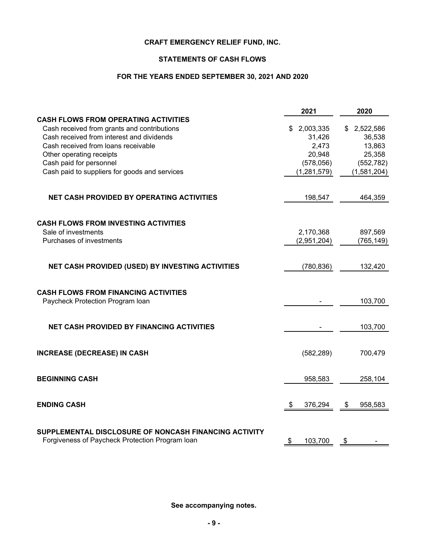### **STATEMENTS OF CASH FLOWS**

### **FOR THE YEARS ENDED SEPTEMBER 30, 2021 AND 2020**

|                                                                                                          | 2021                                 | 2020                  |
|----------------------------------------------------------------------------------------------------------|--------------------------------------|-----------------------|
| <b>CASH FLOWS FROM OPERATING ACTIVITIES</b>                                                              |                                      |                       |
| Cash received from grants and contributions                                                              | 2,003,335<br>\$                      | 2,522,586<br>S        |
| Cash received from interest and dividends                                                                | 31,426                               | 36,538                |
| Cash received from loans receivable                                                                      | 2,473                                | 13,863                |
| Other operating receipts                                                                                 | 20,948                               | 25,358                |
| Cash paid for personnel                                                                                  | (578,056)                            | (552, 782)            |
| Cash paid to suppliers for goods and services                                                            | (1, 281, 579)                        | (1,581,204)           |
| <b>NET CASH PROVIDED BY OPERATING ACTIVITIES</b>                                                         | 198,547                              | 464,359               |
| <b>CASH FLOWS FROM INVESTING ACTIVITIES</b>                                                              |                                      |                       |
| Sale of investments                                                                                      | 2,170,368                            | 897,569               |
| Purchases of investments                                                                                 | (2,951,204)                          | (765, 149)            |
|                                                                                                          |                                      |                       |
| NET CASH PROVIDED (USED) BY INVESTING ACTIVITIES                                                         | (780, 836)                           | 132,420               |
| <b>CASH FLOWS FROM FINANCING ACTIVITIES</b>                                                              |                                      |                       |
| Paycheck Protection Program Ioan                                                                         |                                      | 103,700               |
| <b>NET CASH PROVIDED BY FINANCING ACTIVITIES</b>                                                         |                                      | 103,700               |
| <b>INCREASE (DECREASE) IN CASH</b>                                                                       | (582, 289)                           | 700,479               |
| <b>BEGINNING CASH</b>                                                                                    | 958,583                              | 258,104               |
| <b>ENDING CASH</b>                                                                                       | $\boldsymbol{\mathsf{S}}$<br>376,294 | \$<br>958,583         |
| SUPPLEMENTAL DISCLOSURE OF NONCASH FINANCING ACTIVITY<br>Forgiveness of Paycheck Protection Program Ioan | 103,700<br>\$                        | $\boldsymbol{\theta}$ |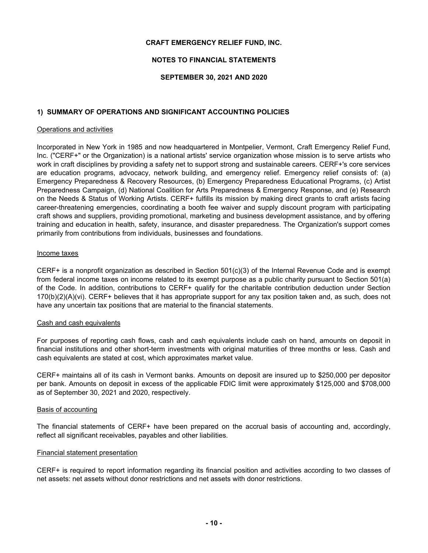### **NOTES TO FINANCIAL STATEMENTS**

### **SEPTEMBER 30, 2021 AND 2020**

### **1) SUMMARY OF OPERATIONS AND SIGNIFICANT ACCOUNTING POLICIES**

### Operations and activities

Incorporated in New York in 1985 and now headquartered in Montpelier, Vermont, Craft Emergency Relief Fund, Inc. ("CERF+" or the Organization) is a national artists' service organization whose mission is to serve artists who work in craft disciplines by providing a safety net to support strong and sustainable careers. CERF+'s core services are education programs, advocacy, network building, and emergency relief. Emergency relief consists of: (a) Emergency Preparedness & Recovery Resources, (b) Emergency Preparedness Educational Programs, (c) Artist Preparedness Campaign, (d) National Coalition for Arts Preparedness & Emergency Response, and (e) Research on the Needs & Status of Working Artists. CERF+ fulfills its mission by making direct grants to craft artists facing career-threatening emergencies, coordinating a booth fee waiver and supply discount program with participating craft shows and suppliers, providing promotional, marketing and business development assistance, and by offering training and education in health, safety, insurance, and disaster preparedness. The Organization's support comes primarily from contributions from individuals, businesses and foundations.

### Income taxes

CERF+ is a nonprofit organization as described in Section 501(c)(3) of the Internal Revenue Code and is exempt from federal income taxes on income related to its exempt purpose as a public charity pursuant to Section 501(a) of the Code. In addition, contributions to CERF+ qualify for the charitable contribution deduction under Section 170(b)(2)(A)(vi). CERF+ believes that it has appropriate support for any tax position taken and, as such, does not have any uncertain tax positions that are material to the financial statements.

### Cash and cash equivalents

For purposes of reporting cash flows, cash and cash equivalents include cash on hand, amounts on deposit in financial institutions and other short-term investments with original maturities of three months or less. Cash and cash equivalents are stated at cost, which approximates market value.

CERF+ maintains all of its cash in Vermont banks. Amounts on deposit are insured up to \$250,000 per depositor per bank. Amounts on deposit in excess of the applicable FDIC limit were approximately \$125,000 and \$708,000 as of September 30, 2021 and 2020, respectively.

### Basis of accounting

The financial statements of CERF+ have been prepared on the accrual basis of accounting and, accordingly, reflect all significant receivables, payables and other liabilities.

### Financial statement presentation

CERF+ is required to report information regarding its financial position and activities according to two classes of net assets: net assets without donor restrictions and net assets with donor restrictions.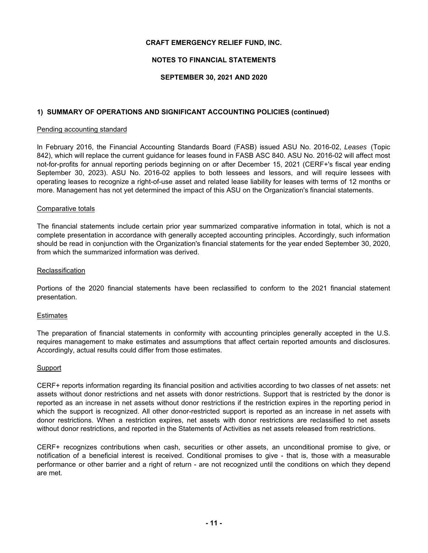### **NOTES TO FINANCIAL STATEMENTS**

### **SEPTEMBER 30, 2021 AND 2020**

### **1) SUMMARY OF OPERATIONS AND SIGNIFICANT ACCOUNTING POLICIES (continued)**

### Pending accounting standard

In February 2016, the Financial Accounting Standards Board (FASB) issued ASU No. 2016-02, *Leases* (Topic 842), which will replace the current guidance for leases found in FASB ASC 840. ASU No. 2016-02 will affect most not-for-profits for annual reporting periods beginning on or after December 15, 2021 (CERF+'s fiscal year ending September 30, 2023). ASU No. 2016-02 applies to both lessees and lessors, and will require lessees with operating leases to recognize a right-of-use asset and related lease liability for leases with terms of 12 months or more. Management has not yet determined the impact of this ASU on the Organization's financial statements.

### Comparative totals

The financial statements include certain prior year summarized comparative information in total, which is not a complete presentation in accordance with generally accepted accounting principles. Accordingly, such information should be read in conjunction with the Organization's financial statements for the year ended September 30, 2020, from which the summarized information was derived.

### **Reclassification**

Portions of the 2020 financial statements have been reclassified to conform to the 2021 financial statement presentation.

### **Estimates**

The preparation of financial statements in conformity with accounting principles generally accepted in the U.S. requires management to make estimates and assumptions that affect certain reported amounts and disclosures. Accordingly, actual results could differ from those estimates.

### **Support**

CERF+ reports information regarding its financial position and activities according to two classes of net assets: net assets without donor restrictions and net assets with donor restrictions. Support that is restricted by the donor is reported as an increase in net assets without donor restrictions if the restriction expires in the reporting period in which the support is recognized. All other donor-restricted support is reported as an increase in net assets with donor restrictions. When a restriction expires, net assets with donor restrictions are reclassified to net assets without donor restrictions, and reported in the Statements of Activities as net assets released from restrictions.

CERF+ recognizes contributions when cash, securities or other assets, an unconditional promise to give, or notification of a beneficial interest is received. Conditional promises to give - that is, those with a measurable performance or other barrier and a right of return - are not recognized until the conditions on which they depend are met.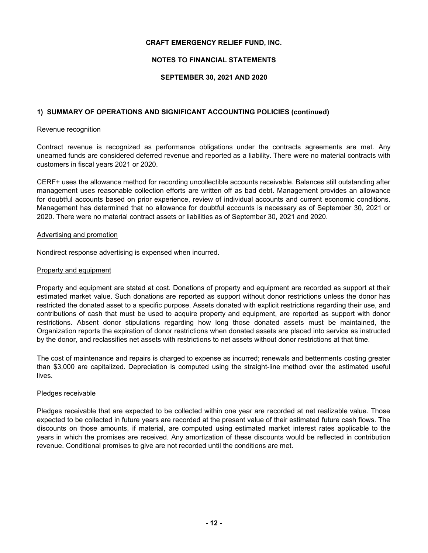### **NOTES TO FINANCIAL STATEMENTS**

### **SEPTEMBER 30, 2021 AND 2020**

### **1) SUMMARY OF OPERATIONS AND SIGNIFICANT ACCOUNTING POLICIES (continued)**

### Revenue recognition

Contract revenue is recognized as performance obligations under the contracts agreements are met. Any unearned funds are considered deferred revenue and reported as a liability. There were no material contracts with customers in fiscal years 2021 or 2020.

CERF+ uses the allowance method for recording uncollectible accounts receivable. Balances still outstanding after management uses reasonable collection efforts are written off as bad debt. Management provides an allowance for doubtful accounts based on prior experience, review of individual accounts and current economic conditions. Management has determined that no allowance for doubtful accounts is necessary as of September 30, 2021 or 2020. There were no material contract assets or liabilities as of September 30, 2021 and 2020.

### Advertising and promotion

Nondirect response advertising is expensed when incurred.

### Property and equipment

Property and equipment are stated at cost. Donations of property and equipment are recorded as support at their estimated market value. Such donations are reported as support without donor restrictions unless the donor has restricted the donated asset to a specific purpose. Assets donated with explicit restrictions regarding their use, and contributions of cash that must be used to acquire property and equipment, are reported as support with donor restrictions. Absent donor stipulations regarding how long those donated assets must be maintained, the Organization reports the expiration of donor restrictions when donated assets are placed into service as instructed by the donor, and reclassifies net assets with restrictions to net assets without donor restrictions at that time.

The cost of maintenance and repairs is charged to expense as incurred; renewals and betterments costing greater than \$3,000 are capitalized. Depreciation is computed using the straight-line method over the estimated useful lives.

### Pledges receivable

Pledges receivable that are expected to be collected within one year are recorded at net realizable value. Those expected to be collected in future years are recorded at the present value of their estimated future cash flows. The discounts on those amounts, if material, are computed using estimated market interest rates applicable to the years in which the promises are received. Any amortization of these discounts would be reflected in contribution revenue. Conditional promises to give are not recorded until the conditions are met.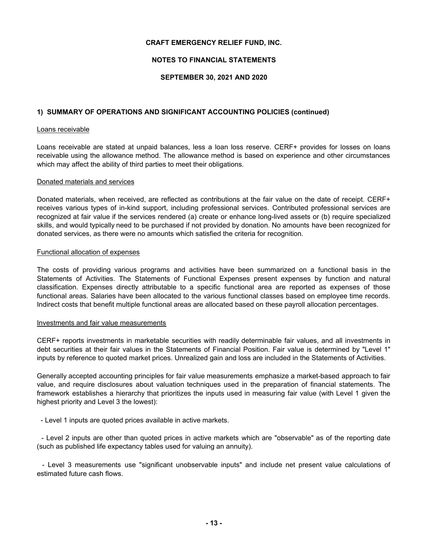### **NOTES TO FINANCIAL STATEMENTS**

### **SEPTEMBER 30, 2021 AND 2020**

### **1) SUMMARY OF OPERATIONS AND SIGNIFICANT ACCOUNTING POLICIES (continued)**

### Loans receivable

Loans receivable are stated at unpaid balances, less a loan loss reserve. CERF+ provides for losses on loans receivable using the allowance method. The allowance method is based on experience and other circumstances which may affect the ability of third parties to meet their obligations.

### Donated materials and services

Donated materials, when received, are reflected as contributions at the fair value on the date of receipt. CERF+ receives various types of in-kind support, including professional services. Contributed professional services are recognized at fair value if the services rendered (a) create or enhance long-lived assets or (b) require specialized skills, and would typically need to be purchased if not provided by donation. No amounts have been recognized for donated services, as there were no amounts which satisfied the criteria for recognition.

### Functional allocation of expenses

The costs of providing various programs and activities have been summarized on a functional basis in the Statements of Activities. The Statements of Functional Expenses present expenses by function and natural classification. Expenses directly attributable to a specific functional area are reported as expenses of those functional areas. Salaries have been allocated to the various functional classes based on employee time records. Indirect costs that benefit multiple functional areas are allocated based on these payroll allocation percentages.

### Investments and fair value measurements

CERF+ reports investments in marketable securities with readily determinable fair values, and all investments in debt securities at their fair values in the Statements of Financial Position. Fair value is determined by "Level 1" inputs by reference to quoted market prices. Unrealized gain and loss are included in the Statements of Activities.

Generally accepted accounting principles for fair value measurements emphasize a market-based approach to fair value, and require disclosures about valuation techniques used in the preparation of financial statements. The framework establishes a hierarchy that prioritizes the inputs used in measuring fair value (with Level 1 given the highest priority and Level 3 the lowest):

- Level 1 inputs are quoted prices available in active markets.

- Level 2 inputs are other than quoted prices in active markets which are "observable" as of the reporting date (such as published life expectancy tables used for valuing an annuity).

- Level 3 measurements use "significant unobservable inputs" and include net present value calculations of estimated future cash flows.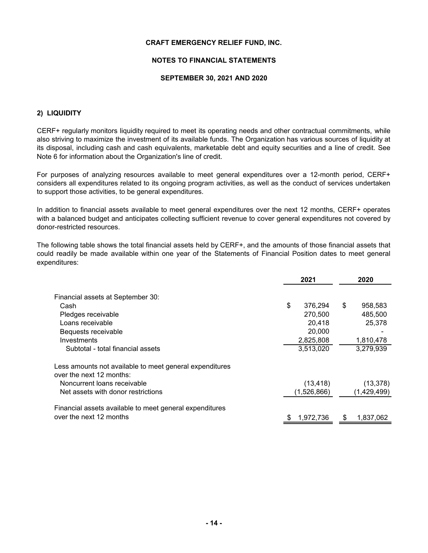### **NOTES TO FINANCIAL STATEMENTS**

### **SEPTEMBER 30, 2021 AND 2020**

### **2) LIQUIDITY**

CERF+ regularly monitors liquidity required to meet its operating needs and other contractual commitments, while also striving to maximize the investment of its available funds. The Organization has various sources of liquidity at its disposal, including cash and cash equivalents, marketable debt and equity securities and a line of credit. See Note 6 for information about the Organization's line of credit.

For purposes of analyzing resources available to meet general expenditures over a 12-month period, CERF+ considers all expenditures related to its ongoing program activities, as well as the conduct of services undertaken to support those activities, to be general expenditures.

In addition to financial assets available to meet general expenditures over the next 12 months, CERF+ operates with a balanced budget and anticipates collecting sufficient revenue to cover general expenditures not covered by donor-restricted resources.

The following table shows the total financial assets held by CERF+, and the amounts of those financial assets that could readily be made available within one year of the Statements of Financial Position dates to meet general expenditures:

|                                                                                     | 2021          | 2020            |  |  |
|-------------------------------------------------------------------------------------|---------------|-----------------|--|--|
| Financial assets at September 30:                                                   |               |                 |  |  |
| Cash                                                                                | \$<br>376,294 | \$<br>958,583   |  |  |
| Pledges receivable                                                                  | 270,500       | 485,500         |  |  |
| Loans receivable                                                                    | 20,418        | 25,378          |  |  |
| Bequests receivable                                                                 | 20,000        |                 |  |  |
| Investments                                                                         | 2,825,808     | 1,810,478       |  |  |
| Subtotal - total financial assets                                                   | 3,513,020     | 3,279,939       |  |  |
| Less amounts not available to meet general expenditures<br>over the next 12 months: |               |                 |  |  |
| Noncurrent loans receivable                                                         | (13, 418)     | (13, 378)       |  |  |
| Net assets with donor restrictions                                                  | (1,526,866)   | (1,429,499)     |  |  |
| Financial assets available to meet general expenditures                             |               |                 |  |  |
| over the next 12 months                                                             | 1,972,736     | \$<br>1,837,062 |  |  |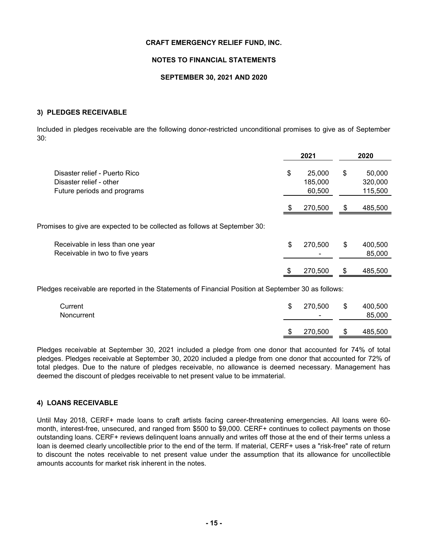### **NOTES TO FINANCIAL STATEMENTS**

### **SEPTEMBER 30, 2021 AND 2020**

### **3) PLEDGES RECEIVABLE**

Included in pledges receivable are the following donor-restricted unconditional promises to give as of September 30:

|                                                                                         |    | 2021                        |     | 2020                         |
|-----------------------------------------------------------------------------------------|----|-----------------------------|-----|------------------------------|
| Disaster relief - Puerto Rico<br>Disaster relief - other<br>Future periods and programs | S  | 25,000<br>185,000<br>60,500 | \$  | 50,000<br>320,000<br>115,500 |
|                                                                                         |    | 270,500                     | \$  | 485,500                      |
| Promises to give are expected to be collected as follows at September 30:               |    |                             |     |                              |
| Receivable in less than one year<br>Receivable in two to five years                     | \$ | 270,500                     | S   | 400,500<br>85,000            |
|                                                                                         |    | 270,500                     | \$. | 485,500                      |

Pledges receivable are reported in the Statements of Financial Position at September 30 as follows:

| Current<br>Noncurrent | S | 270.500<br>$\overline{\phantom{0}}$ | -\$ | 400,500<br>85,000 |
|-----------------------|---|-------------------------------------|-----|-------------------|
|                       | S | 270,500                             | \$  | 485,500           |

Pledges receivable at September 30, 2021 included a pledge from one donor that accounted for 74% of total pledges. Pledges receivable at September 30, 2020 included a pledge from one donor that accounted for 72% of total pledges. Due to the nature of pledges receivable, no allowance is deemed necessary. Management has deemed the discount of pledges receivable to net present value to be immaterial.

### **4) LOANS RECEIVABLE**

Until May 2018, CERF+ made loans to craft artists facing career-threatening emergencies. All loans were 60 month, interest-free, unsecured, and ranged from \$500 to \$9,000. CERF+ continues to collect payments on those outstanding loans. CERF+ reviews delinquent loans annually and writes off those at the end of their terms unless a loan is deemed clearly uncollectible prior to the end of the term. If material, CERF+ uses a "risk-free" rate of return to discount the notes receivable to net present value under the assumption that its allowance for uncollectible amounts accounts for market risk inherent in the notes.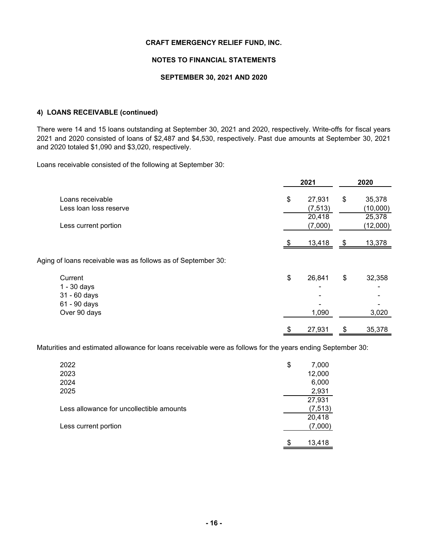### **NOTES TO FINANCIAL STATEMENTS**

### **SEPTEMBER 30, 2021 AND 2020**

### **4) LOANS RECEIVABLE (continued)**

There were 14 and 15 loans outstanding at September 30, 2021 and 2020, respectively. Write-offs for fiscal years 2021 and 2020 consisted of loans of \$2,487 and \$4,530, respectively. Past due amounts at September 30, 2021 and 2020 totaled \$1,090 and \$3,020, respectively.

Loans receivable consisted of the following at September 30:

|                                                              | 2021         |      | 2020     |
|--------------------------------------------------------------|--------------|------|----------|
| Loans receivable                                             | \$<br>27,931 | \$   | 35,378   |
| Less loan loss reserve                                       | (7, 513)     |      | (10,000) |
|                                                              | 20,418       |      | 25,378   |
| Less current portion                                         | (7,000)      |      | (12,000) |
|                                                              |              |      |          |
|                                                              | 13,418       | - \$ | 13,378   |
| Aging of loans receivable was as follows as of September 30: |              |      |          |
| Current                                                      | \$<br>26,841 | \$   | 32,358   |
| $1 - 30$ days                                                |              |      |          |
| 31 - 60 days                                                 |              |      |          |
| 61 - 90 days                                                 |              |      |          |
| Over 90 days                                                 | 1,090        |      | 3,020    |
|                                                              | \$<br>27,931 | \$   | 35,378   |

Maturities and estimated allowance for loans receivable were as follows for the years ending September 30:

| 2022                                     | \$<br>7,000  |
|------------------------------------------|--------------|
| 2023                                     | 12,000       |
| 2024                                     | 6,000        |
| 2025                                     | 2,931        |
|                                          | 27,931       |
| Less allowance for uncollectible amounts | (7, 513)     |
|                                          | 20,418       |
| Less current portion                     | (7,000)      |
|                                          |              |
|                                          | \$<br>13,418 |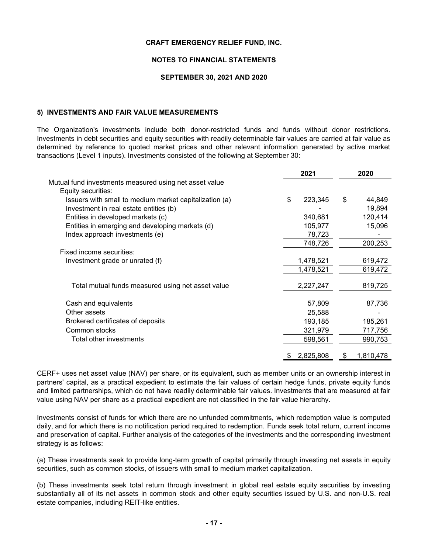### **NOTES TO FINANCIAL STATEMENTS**

### **SEPTEMBER 30, 2021 AND 2020**

### **5) INVESTMENTS AND FAIR VALUE MEASUREMENTS**

The Organization's investments include both donor-restricted funds and funds without donor restrictions. Investments in debt securities and equity securities with readily determinable fair values are carried at fair value as determined by reference to quoted market prices and other relevant information generated by active market transactions (Level 1 inputs). Investments consisted of the following at September 30:

|                                                        | 2021          | 2020         |
|--------------------------------------------------------|---------------|--------------|
| Mutual fund investments measured using net asset value |               |              |
| Equity securities:                                     |               |              |
| Issuers with small to medium market capitalization (a) | \$<br>223,345 | \$<br>44,849 |
| Investment in real estate entities (b)                 |               | 19,894       |
| Entities in developed markets (c)                      | 340,681       | 120,414      |
| Entities in emerging and developing markets (d)        | 105,977       | 15,096       |
| Index approach investments (e)                         | 78,723        |              |
|                                                        | 748,726       | 200,253      |
| Fixed income securities:                               |               |              |
| Investment grade or unrated (f)                        | 1,478,521     | 619,472      |
|                                                        | 1,478,521     | 619,472      |
| Total mutual funds measured using net asset value      | 2,227,247     | 819,725      |
| Cash and equivalents                                   | 57,809        | 87,736       |
| Other assets                                           | 25,588        |              |
| Brokered certificates of deposits                      | 193,185       | 185,261      |
| Common stocks                                          | 321,979       | 717,756      |
| Total other investments                                | 598,561       | 990,753      |
|                                                        | 2,825,808     | 1,810,478    |
|                                                        |               |              |

CERF+ uses net asset value (NAV) per share, or its equivalent, such as member units or an ownership interest in partners' capital, as a practical expedient to estimate the fair values of certain hedge funds, private equity funds and limited partnerships, which do not have readily determinable fair values. Investments that are measured at fair value using NAV per share as a practical expedient are not classified in the fair value hierarchy.

Investments consist of funds for which there are no unfunded commitments, which redemption value is computed daily, and for which there is no notification period required to redemption. Funds seek total return, current income and preservation of capital. Further analysis of the categories of the investments and the corresponding investment strategy is as follows:

(a) These investments seek to provide long-term growth of capital primarily through investing net assets in equity securities, such as common stocks, of issuers with small to medium market capitalization.

(b) These investments seek total return through investment in global real estate equity securities by investing substantially all of its net assets in common stock and other equity securities issued by U.S. and non-U.S. real estate companies, including REIT-like entities.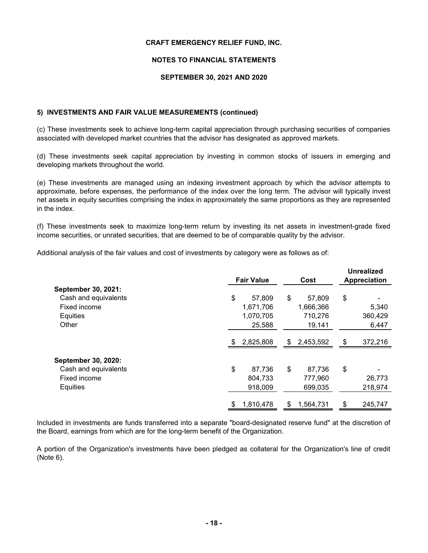### **NOTES TO FINANCIAL STATEMENTS**

### **SEPTEMBER 30, 2021 AND 2020**

### **5) INVESTMENTS AND FAIR VALUE MEASUREMENTS (continued)**

(c) These investments seek to achieve long-term capital appreciation through purchasing securities of companies associated with developed market countries that the advisor has designated as approved markets.

(d) These investments seek capital appreciation by investing in common stocks of issuers in emerging and developing markets throughout the world.

(e) These investments are managed using an indexing investment approach by which the advisor attempts to approximate, before expenses, the performance of the index over the long term. The advisor will typically invest net assets in equity securities comprising the index in approximately the same proportions as they are represented in the index.

(f) These investments seek to maximize long-term return by investing its net assets in investment-grade fixed income securities, or unrated securities, that are deemed to be of comparable quality by the advisor.

Additional analysis of the fair values and cost of investments by category were as follows as of:

|                      |    | <b>Fair Value</b> |     | Cost      | <b>Unrealized</b><br>Appreciation |
|----------------------|----|-------------------|-----|-----------|-----------------------------------|
| September 30, 2021:  |    |                   |     |           |                                   |
| Cash and equivalents | \$ | 57,809            | \$  | 57,809    | \$                                |
| Fixed income         |    | 1,671,706         |     | 1,666,366 | 5,340                             |
| Equities             |    | 1,070,705         |     | 710,276   | 360,429                           |
| Other                |    | 25,588            |     | 19,141    | 6,447                             |
|                      | S  | 2,825,808         | \$. | 2,453,592 | \$<br>372,216                     |
| September 30, 2020:  |    |                   |     |           |                                   |
| Cash and equivalents | \$ | 87,736            | \$  | 87,736    | \$                                |
| Fixed income         |    | 804,733           |     | 777,960   | 26,773                            |
| Equities             |    | 918,009           |     | 699,035   | 218,974                           |
|                      | S. | 1,810,478         | S   | 1,564,731 | \$<br>245,747                     |

Included in investments are funds transferred into a separate "board-designated reserve fund" at the discretion of the Board, earnings from which are for the long-term benefit of the Organization.

A portion of the Organization's investments have been pledged as collateral for the Organization's line of credit (Note 6).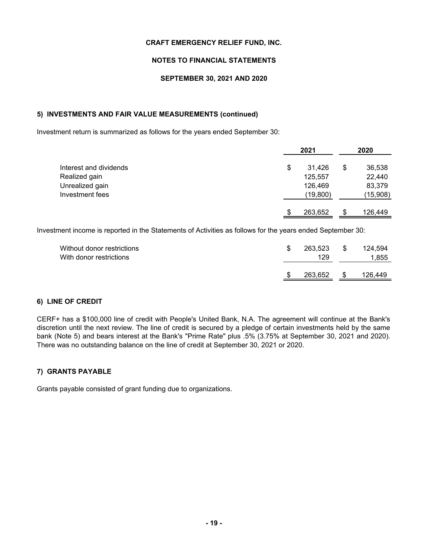### **NOTES TO FINANCIAL STATEMENTS**

### **SEPTEMBER 30, 2021 AND 2020**

### **5) INVESTMENTS AND FAIR VALUE MEASUREMENTS (continued)**

Investment return is summarized as follows for the years ended September 30:

|                        | 2021         |    | 2020     |  |
|------------------------|--------------|----|----------|--|
| Interest and dividends | \$<br>31,426 | \$ | 36,538   |  |
| Realized gain          | 125,557      |    | 22,440   |  |
| Unrealized gain        | 126,469      |    | 83,379   |  |
| Investment fees        | (19,800)     |    | (15,908) |  |
|                        | 263,652      | \$ | 126,449  |  |

Investment income is reported in the Statements of Activities as follows for the years ended September 30:

| Without donor restrictions<br>With donor restrictions | 263.523<br>129 | - \$ | 124,594<br>1,855 |
|-------------------------------------------------------|----------------|------|------------------|
|                                                       | 263,652        |      | 126,449          |

### **6) LINE OF CREDIT**

CERF+ has a \$100,000 line of credit with People's United Bank, N.A. The agreement will continue at the Bank's discretion until the next review. The line of credit is secured by a pledge of certain investments held by the same bank (Note 5) and bears interest at the Bank's "Prime Rate" plus .5% (3.75% at September 30, 2021 and 2020). There was no outstanding balance on the line of credit at September 30, 2021 or 2020.

### **7) GRANTS PAYABLE**

Grants payable consisted of grant funding due to organizations.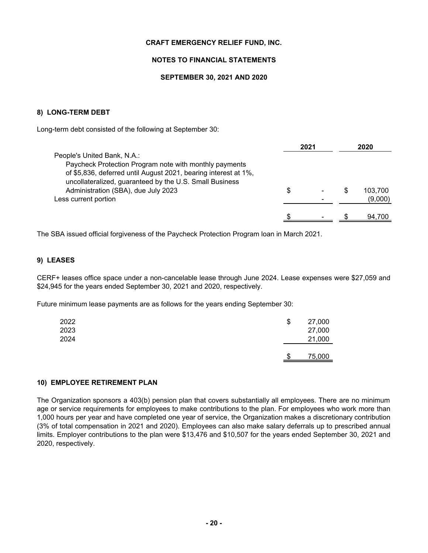### **NOTES TO FINANCIAL STATEMENTS**

### **SEPTEMBER 30, 2021 AND 2020**

### **8) LONG-TERM DEBT**

Long-term debt consisted of the following at September 30:

|                                                                                                                                                                                                                                                                                    |   | 2021 |   | 2020               |
|------------------------------------------------------------------------------------------------------------------------------------------------------------------------------------------------------------------------------------------------------------------------------------|---|------|---|--------------------|
| People's United Bank, N.A.:<br>Paycheck Protection Program note with monthly payments<br>of \$5,836, deferred until August 2021, bearing interest at 1%,<br>uncollateralized, guaranteed by the U.S. Small Business<br>Administration (SBA), due July 2023<br>Less current portion | S |      | S | 103.700<br>(9,000) |
|                                                                                                                                                                                                                                                                                    |   |      |   | 94.700             |

The SBA issued official forgiveness of the Paycheck Protection Program loan in March 2021.

### **9) LEASES**

CERF+ leases office space under a non-cancelable lease through June 2024. Lease expenses were \$27,059 and \$24,945 for the years ended September 30, 2021 and 2020, respectively.

Future minimum lease payments are as follows for the years ending September 30:

| 2022<br>2023<br>2024 | \$ | 27,000<br>27,000<br>21,000 |
|----------------------|----|----------------------------|
|                      | æ  | 75,000                     |

### **10) EMPLOYEE RETIREMENT PLAN**

The Organization sponsors a 403(b) pension plan that covers substantially all employees. There are no minimum age or service requirements for employees to make contributions to the plan. For employees who work more than 1,000 hours per year and have completed one year of service, the Organization makes a discretionary contribution (3% of total compensation in 2021 and 2020). Employees can also make salary deferrals up to prescribed annual limits. Employer contributions to the plan were \$13,476 and \$10,507 for the years ended September 30, 2021 and 2020, respectively.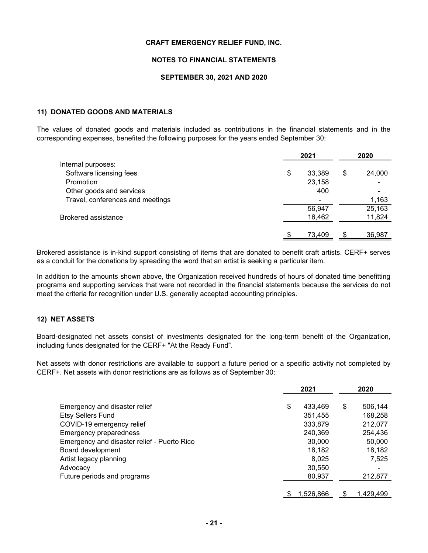### **NOTES TO FINANCIAL STATEMENTS**

### **SEPTEMBER 30, 2021 AND 2020**

### **11) DONATED GOODS AND MATERIALS**

The values of donated goods and materials included as contributions in the financial statements and in the corresponding expenses, benefited the following purposes for the years ended September 30:

|                                  | 2021         |    | 2020   |
|----------------------------------|--------------|----|--------|
| Internal purposes:               |              |    |        |
| Software licensing fees          | \$<br>33,389 | \$ | 24,000 |
| Promotion                        | 23,158       |    |        |
| Other goods and services         | 400          |    |        |
| Travel, conferences and meetings |              |    | 1,163  |
|                                  | 56,947       |    | 25,163 |
| <b>Brokered assistance</b>       | 16,462       |    | 11,824 |
|                                  |              |    |        |
|                                  | 73,409       | \$ | 36,987 |

Brokered assistance is in-kind support consisting of items that are donated to benefit craft artists. CERF+ serves as a conduit for the donations by spreading the word that an artist is seeking a particular item.

In addition to the amounts shown above, the Organization received hundreds of hours of donated time benefitting programs and supporting services that were not recorded in the financial statements because the services do not meet the criteria for recognition under U.S. generally accepted accounting principles.

### **12) NET ASSETS**

Board-designated net assets consist of investments designated for the long-term benefit of the Organization, including funds designated for the CERF+ "At the Ready Fund".

Net assets with donor restrictions are available to support a future period or a specific activity not completed by CERF+. Net assets with donor restrictions are as follows as of September 30:

|                                             | 2021          |    | 2020      |
|---------------------------------------------|---------------|----|-----------|
| Emergency and disaster relief               | \$<br>433.469 | \$ | 506,144   |
| <b>Etsy Sellers Fund</b>                    | 351,455       |    | 168,258   |
| COVID-19 emergency relief                   | 333,879       |    | 212,077   |
| Emergency preparedness                      | 240,369       |    | 254,436   |
| Emergency and disaster relief - Puerto Rico | 30,000        |    | 50,000    |
| Board development                           | 18,182        |    | 18,182    |
| Artist legacy planning                      | 8,025         |    | 7,525     |
| Advocacy                                    | 30,550        |    |           |
| Future periods and programs                 | 80,937        |    | 212,877   |
|                                             | 1,526,866     | \$ | 1,429,499 |